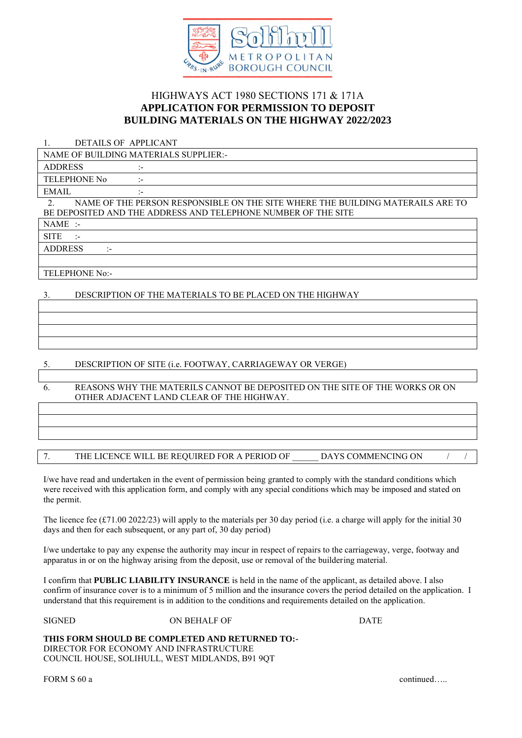

# HIGHWAYS ACT 1980 SECTIONS 171 & 171A **APPLICATION FOR PERMISSION TO DEPOSIT BUILDING MATERIALS ON THE HIGHWAY 2022/2023**

1. DETAILS OF APPLICANT

NAME OF BUILDING MATERIALS SUPPLIER:-

ADDRESS :-

TELEPHONE No :-EMAIL :-

2. NAME OF THE PERSON RESPONSIBLE ON THE SITE WHERE THE BUILDING MATERAILS ARE TO BE DEPOSITED AND THE ADDRESS AND TELEPHONE NUMBER OF THE SITE

NAME :-

**SITE** 

ADDRESS :-

TELEPHONE No:-

## 3. DESCRIPTION OF THE MATERIALS TO BE PLACED ON THE HIGHWAY

### 5. DESCRIPTION OF SITE (i.e. FOOTWAY, CARRIAGEWAY OR VERGE)

6. REASONS WHY THE MATERILS CANNOT BE DEPOSITED ON THE SITE OF THE WORKS OR ON OTHER ADJACENT LAND CLEAR OF THE HIGHWAY.

### 7. THE LICENCE WILL BE REQUIRED FOR A PERIOD OF DAYS COMMENCING ON

I/we have read and undertaken in the event of permission being granted to comply with the standard conditions which were received with this application form, and comply with any special conditions which may be imposed and stated on the permit.

The licence fee (£71.00 2022/23) will apply to the materials per 30 day period (i.e. a charge will apply for the initial 30 days and then for each subsequent, or any part of, 30 day period)

I/we undertake to pay any expense the authority may incur in respect of repairs to the carriageway, verge, footway and apparatus in or on the highway arising from the deposit, use or removal of the buildering material.

I confirm that **PUBLIC LIABILITY INSURANCE** is held in the name of the applicant, as detailed above. I also confirm of insurance cover is to a minimum of 5 million and the insurance covers the period detailed on the application. I understand that this requirement is in addition to the conditions and requirements detailed on the application.

SIGNED ON BEHALF OF DATE

#### **THIS FORM SHOULD BE COMPLETED AND RETURNED TO:-**

DIRECTOR FOR ECONOMY AND INFRASTRUCTURE COUNCIL HOUSE, SOLIHULL, WEST MIDLANDS, B91 9QT

FORM S 60 a continued…..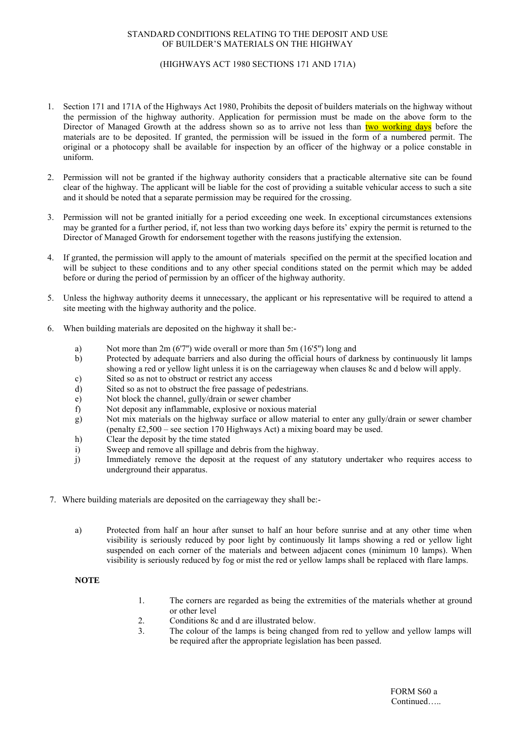#### STANDARD CONDITIONS RELATING TO THE DEPOSIT AND USE OF BUILDER'S MATERIALS ON THE HIGHWAY

#### (HIGHWAYS ACT 1980 SECTIONS 171 AND 171A)

- 1. Section 171 and 171A of the Highways Act 1980, Prohibits the deposit of builders materials on the highway without the permission of the highway authority. Application for permission must be made on the above form to the Director of Managed Growth at the address shown so as to arrive not less than two working days before the materials are to be deposited. If granted, the permission will be issued in the form of a numbered permit. The original or a photocopy shall be available for inspection by an officer of the highway or a police constable in uniform.
- 2. Permission will not be granted if the highway authority considers that a practicable alternative site can be found clear of the highway. The applicant will be liable for the cost of providing a suitable vehicular access to such a site and it should be noted that a separate permission may be required for the crossing.
- 3. Permission will not be granted initially for a period exceeding one week. In exceptional circumstances extensions may be granted for a further period, if, not less than two working days before its' expiry the permit is returned to the Director of Managed Growth for endorsement together with the reasons justifying the extension.
- 4. If granted, the permission will apply to the amount of materials specified on the permit at the specified location and will be subject to these conditions and to any other special conditions stated on the permit which may be added before or during the period of permission by an officer of the highway authority.
- 5. Unless the highway authority deems it unnecessary, the applicant or his representative will be required to attend a site meeting with the highway authority and the police.
- 6. When building materials are deposited on the highway it shall be:
	- a) Not more than 2m (6'7'') wide overall or more than 5m (16'5'') long and
	- b) Protected by adequate barriers and also during the official hours of darkness by continuously lit lamps showing a red or yellow light unless it is on the carriageway when clauses 8c and d below will apply.
	- c) Sited so as not to obstruct or restrict any access
	- d) Sited so as not to obstruct the free passage of pedestrians.
	- e) Not block the channel, gully/drain or sewer chamber
	- f) Not deposit any inflammable, explosive or noxious material
	- g) Not mix materials on the highway surface or allow material to enter any gully/drain or sewer chamber (penalty £2,500 – see section 170 Highways Act) a mixing board may be used.
	- h) Clear the deposit by the time stated
	- i) Sweep and remove all spillage and debris from the highway.
	- j) Immediately remove the deposit at the request of any statutory undertaker who requires access to underground their apparatus.
- 7. Where building materials are deposited on the carriageway they shall be:
	- a) Protected from half an hour after sunset to half an hour before sunrise and at any other time when visibility is seriously reduced by poor light by continuously lit lamps showing a red or yellow light suspended on each corner of the materials and between adjacent cones (minimum 10 lamps). When visibility is seriously reduced by fog or mist the red or yellow lamps shall be replaced with flare lamps.

#### **NOTE**

- 1. The corners are regarded as being the extremities of the materials whether at ground or other level
- 2. Conditions 8c and d are illustrated below.<br>3 The colour of the lamps is being changed
- The colour of the lamps is being changed from red to yellow and yellow lamps will be required after the appropriate legislation has been passed.